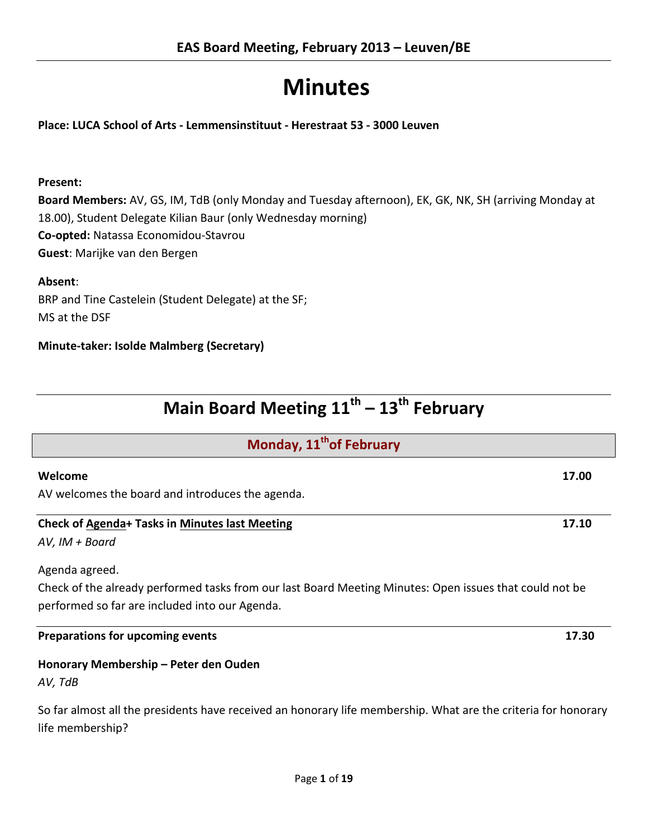# **Minutes**

**Place: LUCA School of Arts - Lemmensinstituut - Herestraat 53 - 3000 Leuven**

# **Present:**

**Board Members:** AV, GS, IM, TdB (only Monday and Tuesday afternoon), EK, GK, NK, SH (arriving Monday at 18.00), Student Delegate Kilian Baur (only Wednesday morning) **Co-opted:** Natassa Economidou-Stavrou **Guest**: Marijke van den Bergen

**Absent**:

BRP and Tine Castelein (Student Delegate) at the SF; MS at the DSF

**Minute-taker: Isolde Malmberg (Secretary)**

| Main Board Meeting 11 <sup>th</sup> – 13 <sup>th</sup> February |  |  |  |
|-----------------------------------------------------------------|--|--|--|
|-----------------------------------------------------------------|--|--|--|

| Monday, 11 <sup>th</sup> of February                                                                                                                      |       |  |
|-----------------------------------------------------------------------------------------------------------------------------------------------------------|-------|--|
| Welcome                                                                                                                                                   | 17.00 |  |
| AV welcomes the board and introduces the agenda.                                                                                                          |       |  |
| <b>Check of Agenda+ Tasks in Minutes last Meeting</b>                                                                                                     | 17.10 |  |
| AV, IM + Board                                                                                                                                            |       |  |
| Agenda agreed.                                                                                                                                            |       |  |
| Check of the already performed tasks from our last Board Meeting Minutes: Open issues that could not be<br>performed so far are included into our Agenda. |       |  |

# **Preparations for upcoming events 17.30**

# **Honorary Membership – Peter den Ouden**

*AV, TdB*

So far almost all the presidents have received an honorary life membership. What are the criteria for honorary life membership?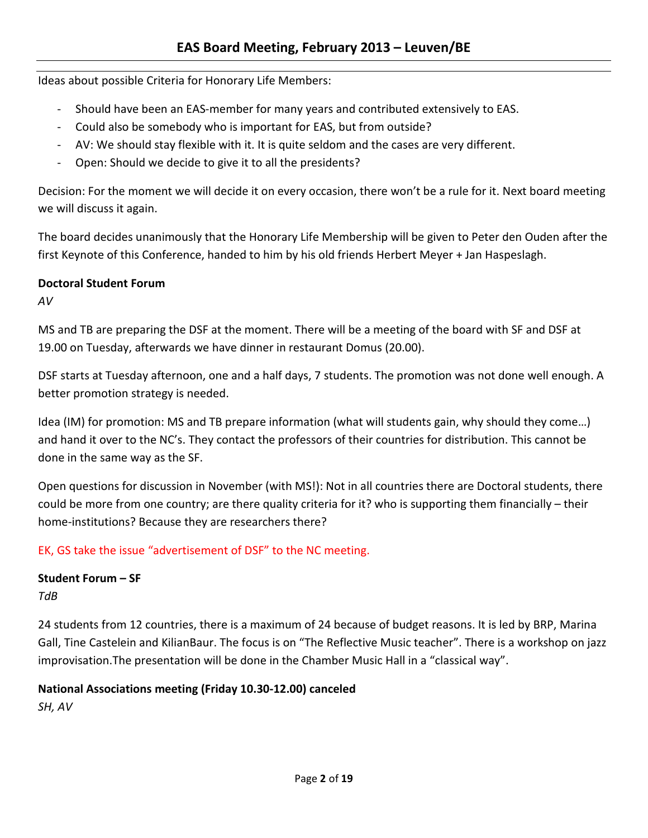Ideas about possible Criteria for Honorary Life Members:

- Should have been an EAS-member for many years and contributed extensively to EAS.
- Could also be somebody who is important for EAS, but from outside?
- AV: We should stay flexible with it. It is quite seldom and the cases are very different.
- Open: Should we decide to give it to all the presidents?

Decision: For the moment we will decide it on every occasion, there won't be a rule for it. Next board meeting we will discuss it again.

The board decides unanimously that the Honorary Life Membership will be given to Peter den Ouden after the first Keynote of this Conference, handed to him by his old friends Herbert Meyer + Jan Haspeslagh.

# **Doctoral Student Forum**

*AV*

MS and TB are preparing the DSF at the moment. There will be a meeting of the board with SF and DSF at 19.00 on Tuesday, afterwards we have dinner in restaurant Domus (20.00).

DSF starts at Tuesday afternoon, one and a half days, 7 students. The promotion was not done well enough. A better promotion strategy is needed.

Idea (IM) for promotion: MS and TB prepare information (what will students gain, why should they come…) and hand it over to the NC's. They contact the professors of their countries for distribution. This cannot be done in the same way as the SF.

Open questions for discussion in November (with MS!): Not in all countries there are Doctoral students, there could be more from one country; are there quality criteria for it? who is supporting them financially – their home-institutions? Because they are researchers there?

EK, GS take the issue "advertisement of DSF" to the NC meeting.

# **Student Forum – SF**

*TdB*

24 students from 12 countries, there is a maximum of 24 because of budget reasons. It is led by BRP, Marina Gall, Tine Castelein and KilianBaur. The focus is on "The Reflective Music teacher". There is a workshop on jazz improvisation.The presentation will be done in the Chamber Music Hall in a "classical way".

# **National Associations meeting (Friday 10.30-12.00) canceled**

*SH, AV*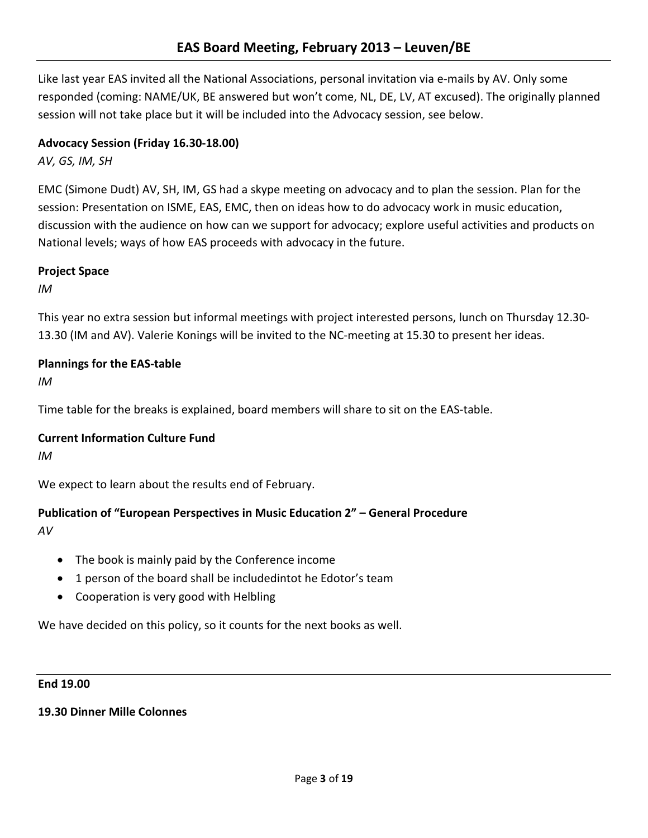Like last year EAS invited all the National Associations, personal invitation via e-mails by AV. Only some responded (coming: NAME/UK, BE answered but won't come, NL, DE, LV, AT excused). The originally planned session will not take place but it will be included into the Advocacy session, see below.

# **Advocacy Session (Friday 16.30-18.00)**

*AV, GS, IM, SH*

EMC (Simone Dudt) AV, SH, IM, GS had a skype meeting on advocacy and to plan the session. Plan for the session: Presentation on ISME, EAS, EMC, then on ideas how to do advocacy work in music education, discussion with the audience on how can we support for advocacy; explore useful activities and products on National levels; ways of how EAS proceeds with advocacy in the future.

# **Project Space**

*IM*

This year no extra session but informal meetings with project interested persons, lunch on Thursday 12.30- 13.30 (IM and AV). Valerie Konings will be invited to the NC-meeting at 15.30 to present her ideas.

# **Plannings for the EAS-table**

*IM*

Time table for the breaks is explained, board members will share to sit on the EAS-table.

# **Current Information Culture Fund**

*IM*

We expect to learn about the results end of February.

# **Publication of "European Perspectives in Music Education 2" – General Procedure**

*AV*

- The book is mainly paid by the Conference income
- 1 person of the board shall be includedintot he Edotor's team
- Cooperation is very good with Helbling

We have decided on this policy, so it counts for the next books as well.

#### **End 19.00**

# **19.30 Dinner Mille Colonnes**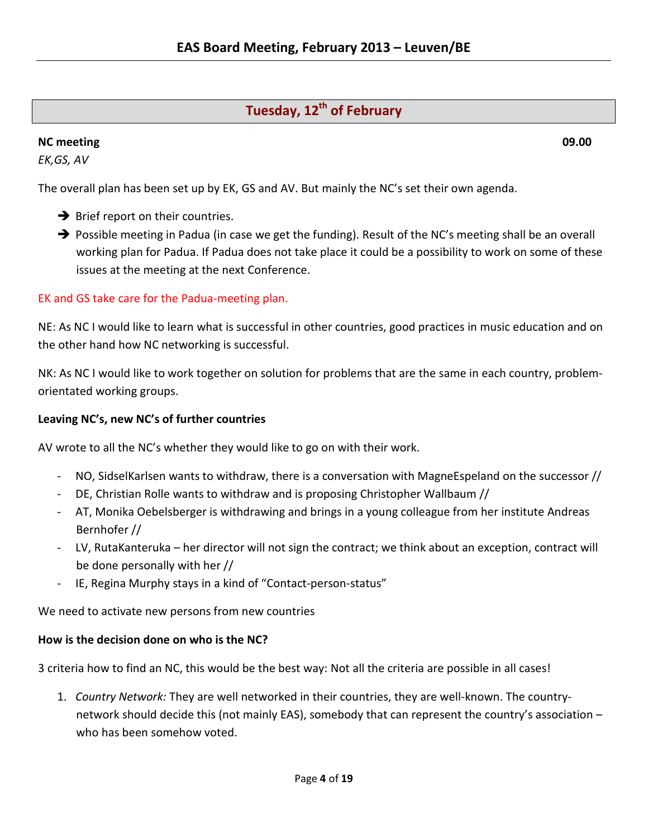# **Tuesday, 12<sup>th</sup> of February**

# **NC meeting 09.00**

*EK,GS, AV*

The overall plan has been set up by EK, GS and AV. But mainly the NC's set their own agenda.

- $\rightarrow$  Brief report on their countries.
- → Possible meeting in Padua (in case we get the funding). Result of the NC's meeting shall be an overall working plan for Padua. If Padua does not take place it could be a possibility to work on some of these issues at the meeting at the next Conference.

# EK and GS take care for the Padua-meeting plan.

NE: As NC I would like to learn what is successful in other countries, good practices in music education and on the other hand how NC networking is successful.

NK: As NC I would like to work together on solution for problems that are the same in each country, problemorientated working groups.

# **Leaving NC's, new NC's of further countries**

AV wrote to all the NC's whether they would like to go on with their work.

- NO, SidselKarlsen wants to withdraw, there is a conversation with MagneEspeland on the successor //
- DE, Christian Rolle wants to withdraw and is proposing Christopher Wallbaum //
- AT, Monika Oebelsberger is withdrawing and brings in a young colleague from her institute Andreas Bernhofer //
- LV, RutaKanteruka her director will not sign the contract; we think about an exception, contract will be done personally with her //
- IE, Regina Murphy stays in a kind of "Contact-person-status"

We need to activate new persons from new countries

# **How is the decision done on who is the NC?**

3 criteria how to find an NC, this would be the best way: Not all the criteria are possible in all cases!

1. *Country Network:* They are well networked in their countries, they are well-known. The countrynetwork should decide this (not mainly EAS), somebody that can represent the country's association – who has been somehow voted.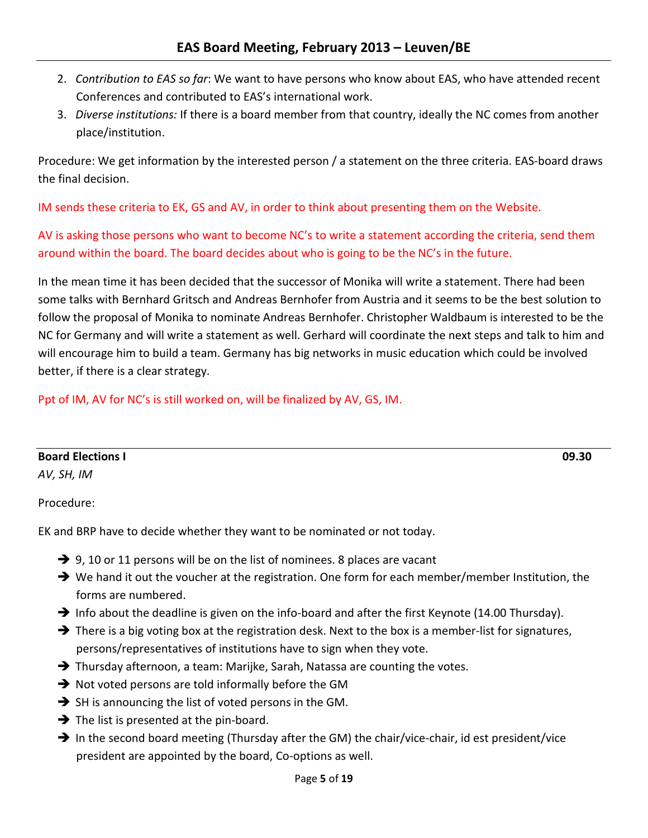- 2. *Contribution to EAS so far*: We want to have persons who know about EAS, who have attended recent Conferences and contributed to EAS's international work.
- 3. *Diverse institutions:* If there is a board member from that country, ideally the NC comes from another place/institution.

Procedure: We get information by the interested person / a statement on the three criteria. EAS-board draws the final decision.

IM sends these criteria to EK, GS and AV, in order to think about presenting them on the Website.

AV is asking those persons who want to become NC's to write a statement according the criteria, send them around within the board. The board decides about who is going to be the NC's in the future.

In the mean time it has been decided that the successor of Monika will write a statement. There had been some talks with Bernhard Gritsch and Andreas Bernhofer from Austria and it seems to be the best solution to follow the proposal of Monika to nominate Andreas Bernhofer. Christopher Waldbaum is interested to be the NC for Germany and will write a statement as well. Gerhard will coordinate the next steps and talk to him and will encourage him to build a team. Germany has big networks in music education which could be involved better, if there is a clear strategy.

Ppt of IM, AV for NC's is still worked on, will be finalized by AV, GS, IM.

**Board Elections I 09.30**

*AV, SH, IM*

Procedure:

EK and BRP have to decide whether they want to be nominated or not today.

- $\rightarrow$  9, 10 or 11 persons will be on the list of nominees. 8 places are vacant
- $\rightarrow$  We hand it out the voucher at the registration. One form for each member/member Institution, the forms are numbered.
- Info about the deadline is given on the info-board and after the first Keynote (14.00 Thursday).
- $\rightarrow$  There is a big voting box at the registration desk. Next to the box is a member-list for signatures, persons/representatives of institutions have to sign when they vote.
- → Thursday afternoon, a team: Marijke, Sarah, Natassa are counting the votes.
- $\rightarrow$  Not voted persons are told informally before the GM
- $\rightarrow$  SH is announcing the list of voted persons in the GM.
- $\rightarrow$  The list is presented at the pin-board.
- $\rightarrow$  In the second board meeting (Thursday after the GM) the chair/vice-chair, id est president/vice president are appointed by the board, Co-options as well.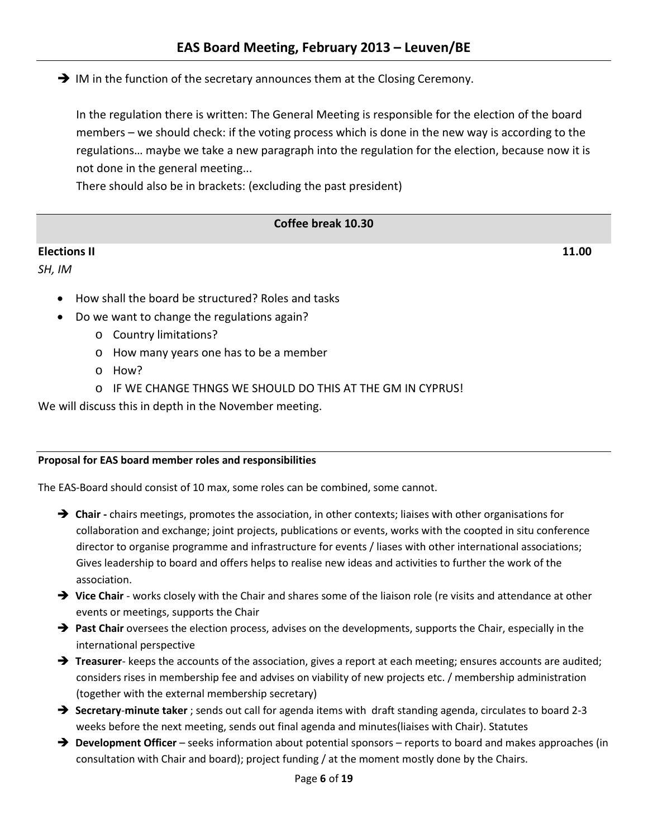$\rightarrow$  IM in the function of the secretary announces them at the Closing Ceremony.

In the regulation there is written: The General Meeting is responsible for the election of the board members – we should check: if the voting process which is done in the new way is according to the regulations… maybe we take a new paragraph into the regulation for the election, because now it is not done in the general meeting...

There should also be in brackets: (excluding the past president)

# **Coffee break 10.30**

# **Elections II 11.00**

*SH, IM*

- How shall the board be structured? Roles and tasks
- Do we want to change the regulations again?
	- o Country limitations?
	- o How many years one has to be a member
	- o How?
	- o IF WE CHANGE THNGS WE SHOULD DO THIS AT THE GM IN CYPRUS!

We will discuss this in depth in the November meeting.

#### **Proposal for EAS board member roles and responsibilities**

The EAS-Board should consist of 10 max, some roles can be combined, some cannot.

- **Chair -** chairs meetings, promotes the association, in other contexts; liaises with other organisations for collaboration and exchange; joint projects, publications or events, works with the coopted in situ conference director to organise programme and infrastructure for events / liases with other international associations; Gives leadership to board and offers helps to realise new ideas and activities to further the work of the association.
- → Vice Chair works closely with the Chair and shares some of the liaison role (re visits and attendance at other events or meetings, supports the Chair
- **Past Chair** oversees the election process, advises on the developments, supports the Chair, especially in the international perspective
- → **Treasurer** keeps the accounts of the association, gives a report at each meeting; ensures accounts are audited; considers rises in membership fee and advises on viability of new projects etc. / membership administration (together with the external membership secretary)
- **Secretary**-**minute taker** ; sends out call for agenda items with draft standing agenda, circulates to board 2-3 weeks before the next meeting, sends out final agenda and minutes(liaises with Chair). Statutes
- **→** Development Officer seeks information about potential sponsors reports to board and makes approaches (in consultation with Chair and board); project funding / at the moment mostly done by the Chairs.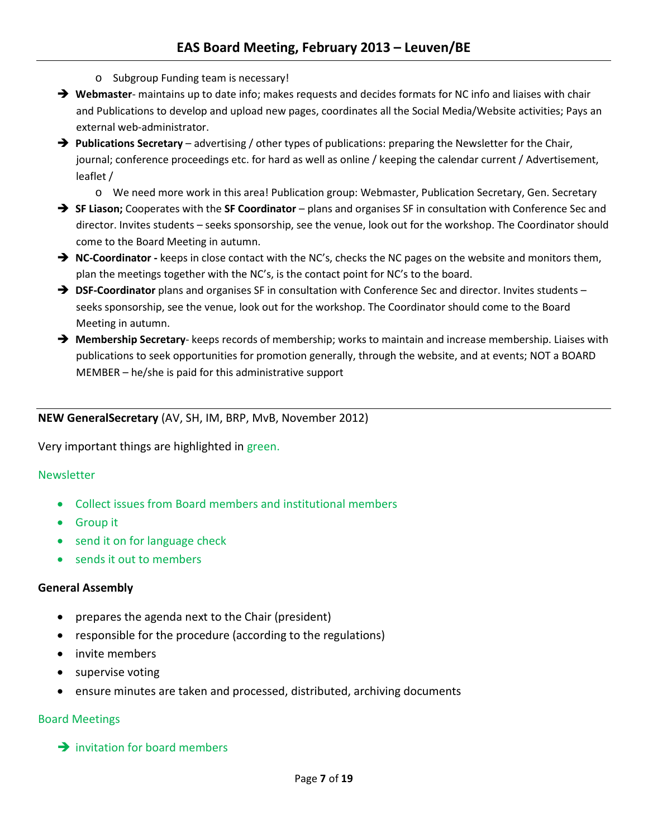- o Subgroup Funding team is necessary!
- → Webmaster- maintains up to date info; makes requests and decides formats for NC info and liaises with chair and Publications to develop and upload new pages, coordinates all the Social Media/Website activities; Pays an external web-administrator.
- **Publications Secretary** advertising / other types of publications: preparing the Newsletter for the Chair, journal; conference proceedings etc. for hard as well as online / keeping the calendar current / Advertisement, leaflet /
	- o We need more work in this area! Publication group: Webmaster, Publication Secretary, Gen. Secretary
- **SF Liason;** Cooperates with the **SF Coordinator** plans and organises SF in consultation with Conference Sec and director. Invites students – seeks sponsorship, see the venue, look out for the workshop. The Coordinator should come to the Board Meeting in autumn.
- **→** NC-Coordinator keeps in close contact with the NC's, checks the NC pages on the website and monitors them, plan the meetings together with the NC's, is the contact point for NC's to the board.
- **→ DSF-Coordinator** plans and organises SF in consultation with Conference Sec and director. Invites students seeks sponsorship, see the venue, look out for the workshop. The Coordinator should come to the Board Meeting in autumn.
- **Membership Secretary** keeps records of membership; works to maintain and increase membership. Liaises with publications to seek opportunities for promotion generally, through the website, and at events; NOT a BOARD MEMBER – he/she is paid for this administrative support

# **NEW GeneralSecretary** (AV, SH, IM, BRP, MvB, November 2012)

Very important things are highlighted in green.

#### **Newsletter**

- Collect issues from Board members and institutional members
- Group it
- send it on for language check
- sends it out to members

#### **General Assembly**

- prepares the agenda next to the Chair (president)
- responsible for the procedure (according to the regulations)
- invite members
- supervise voting
- ensure minutes are taken and processed, distributed, archiving documents

#### Board Meetings

 $\rightarrow$  invitation for board members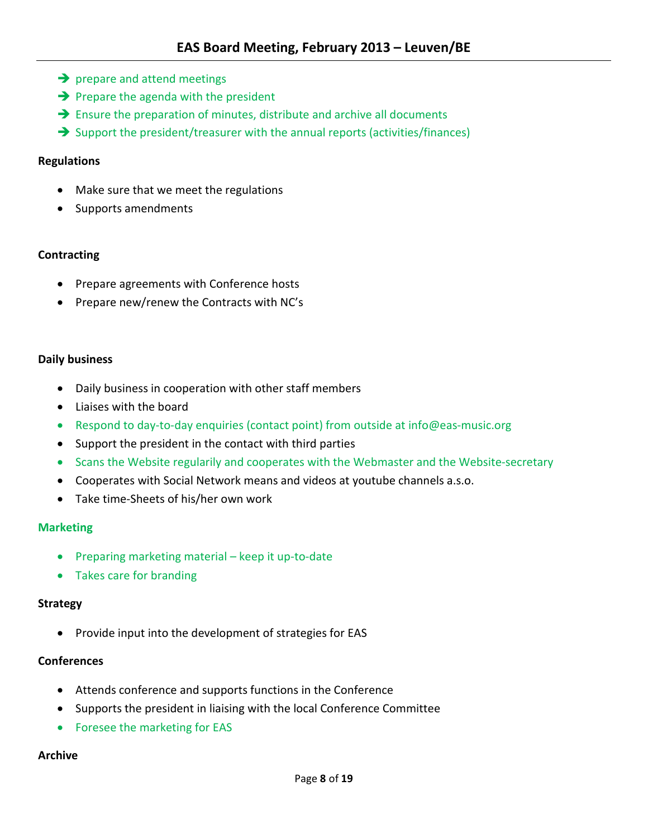- $\rightarrow$  prepare and attend meetings
- $\rightarrow$  Prepare the agenda with the president
- $\rightarrow$  Ensure the preparation of minutes, distribute and archive all documents
- $\rightarrow$  Support the president/treasurer with the annual reports (activities/finances)

# **Regulations**

- Make sure that we meet the regulations
- Supports amendments

# **Contracting**

- Prepare agreements with Conference hosts
- Prepare new/renew the Contracts with NC's

# **Daily business**

- Daily business in cooperation with other staff members
- Liaises with the board
- Respond to day-to-day enquiries (contact point) from outside at [info@eas-music.org](mailto:info@eas-music.org)
- Support the president in the contact with third parties
- Scans the Website regularily and cooperates with the Webmaster and the Website-secretary
- Cooperates with Social Network means and videos at youtube channels a.s.o.
- Take time-Sheets of his/her own work

#### **Marketing**

- Preparing marketing material keep it up-to-date
- Takes care for branding

#### **Strategy**

• Provide input into the development of strategies for EAS

# **Conferences**

- Attends conference and supports functions in the Conference
- Supports the president in liaising with the local Conference Committee
- Foresee the marketing for EAS

#### **Archive**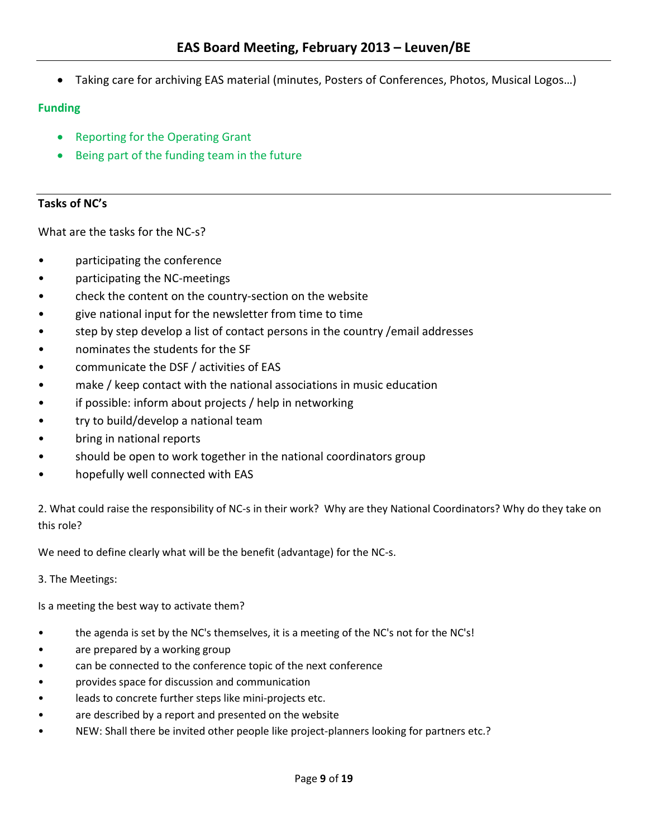• Taking care for archiving EAS material (minutes, Posters of Conferences, Photos, Musical Logos…)

# **Funding**

- Reporting for the Operating Grant
- Being part of the funding team in the future

# **Tasks of NC's**

What are the tasks for the NC-s?

- participating the conference
- participating the NC-meetings
- check the content on the country-section on the website
- give national input for the newsletter from time to time
- step by step develop a list of contact persons in the country / email addresses
- nominates the students for the SF
- communicate the DSF / activities of EAS
- make / keep contact with the national associations in music education
- if possible: inform about projects / help in networking
- try to build/develop a national team
- bring in national reports
- should be open to work together in the national coordinators group
- hopefully well connected with EAS

2. What could raise the responsibility of NC-s in their work? Why are they National Coordinators? Why do they take on this role?

We need to define clearly what will be the benefit (advantage) for the NC-s.

3. The Meetings:

Is a meeting the best way to activate them?

- the agenda is set by the NC's themselves, it is a meeting of the NC's not for the NC's!
- are prepared by a working group
- can be connected to the conference topic of the next conference
- provides space for discussion and communication
- leads to concrete further steps like mini-projects etc.
- are described by a report and presented on the website
- NEW: Shall there be invited other people like project-planners looking for partners etc.?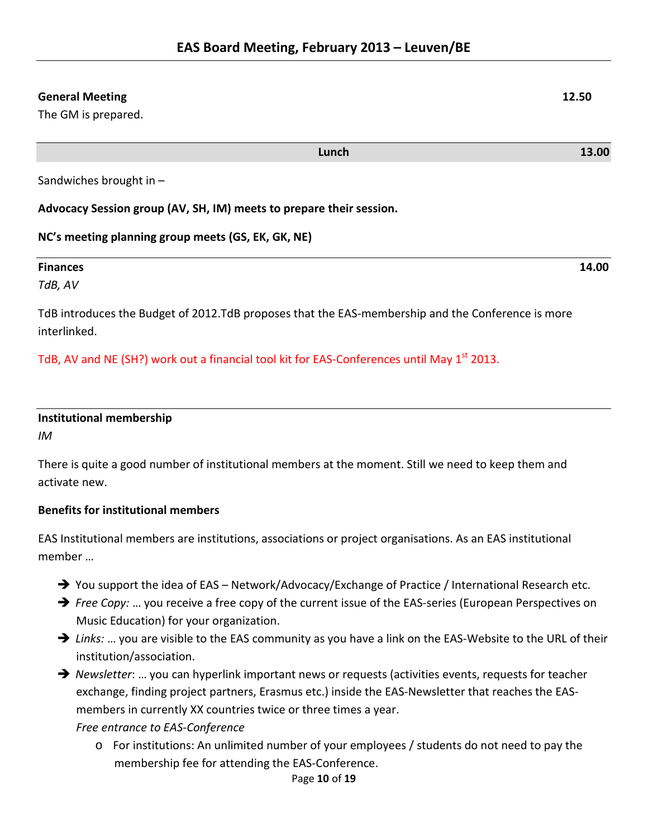# **General Meeting 12.50**

The GM is prepared.

Sandwiches brought in –

**Advocacy Session group (AV, SH, IM) meets to prepare their session.**

**NC's meeting planning group meets (GS, EK, GK, NE)**

# **Finances 14.00** *TdB, AV*

TdB introduces the Budget of 2012.TdB proposes that the EAS-membership and the Conference is more interlinked.

TdB, AV and NE (SH?) work out a financial tool kit for EAS-Conferences until May 1<sup>st</sup> 2013.

| <b>Institutional membership</b> |  |
|---------------------------------|--|
| IM                              |  |

There is quite a good number of institutional members at the moment. Still we need to keep them and activate new.

# **Benefits for institutional members**

EAS Institutional members are institutions, associations or project organisations. As an EAS institutional member …

- → You support the idea of EAS Network/Advocacy/Exchange of Practice / International Research etc.
- → *Free Copy:* ... you receive a free copy of the current issue of the EAS-series (European Perspectives on Music Education) for your organization.
- → Links: ... you are visible to the EAS community as you have a link on the EAS-Website to the URL of their institution/association.
- → *Newsletter*: ... you can hyperlink important news or requests (activities events, requests for teacher exchange, finding project partners, Erasmus etc.) inside the EAS-Newsletter that reaches the EASmembers in currently XX countries twice or three times a year.

# *Free entrance to EAS-Conference*

o For institutions: An unlimited number of your employees / students do not need to pay the membership fee for attending the EAS-Conference.

# Page **10** of **19**

**Lunch 13.00**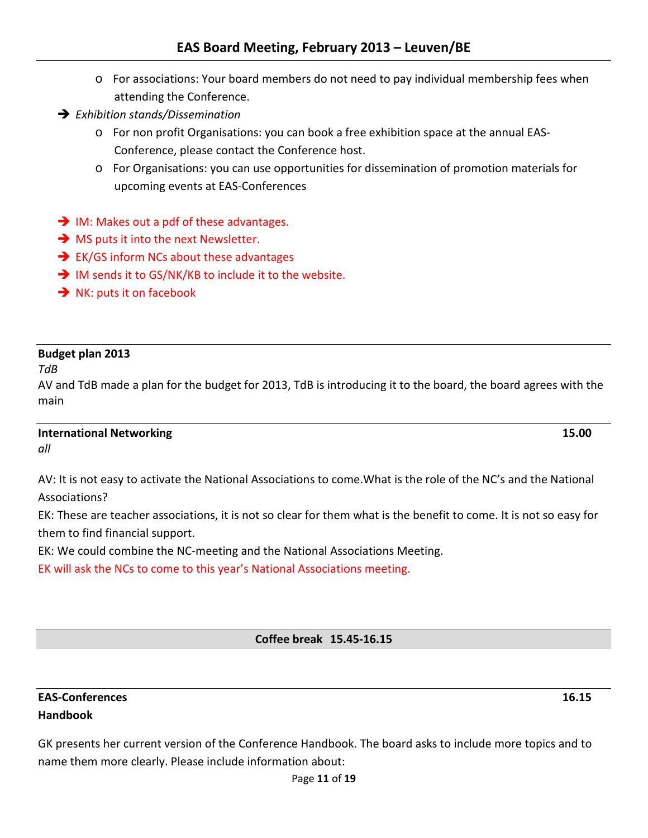- o For associations: Your board members do not need to pay individual membership fees when attending the Conference.
- *Exhibition stands/Dissemination*
	- o For non profit Organisations: you can book a free exhibition space at the annual EAS-Conference, please contact the Conference host.
	- o For Organisations: you can use opportunities for dissemination of promotion materials for upcoming events at EAS-Conferences
- $\rightarrow$  IM: Makes out a pdf of these advantages.
- $\rightarrow$  MS puts it into the next Newsletter.
- $\rightarrow$  EK/GS inform NCs about these advantages
- → IM sends it to GS/NK/KB to include it to the website.
- $\rightarrow$  NK: puts it on facebook

# **Budget plan 2013**

*TdB*

AV and TdB made a plan for the budget for 2013, TdB is introducing it to the board, the board agrees with the main

# **International Networking 15.00**

*all*

AV: It is not easy to activate the National Associations to come.What is the role of the NC's and the National Associations?

EK: These are teacher associations, it is not so clear for them what is the benefit to come. It is not so easy for them to find financial support.

EK: We could combine the NC-meeting and the National Associations Meeting.

EK will ask the NCs to come to this year's National Associations meeting.

# **Coffee break 15.45-16.15**

# **EAS-Conferences 16.15 Handbook**

GK presents her current version of the Conference Handbook. The board asks to include more topics and to name them more clearly. Please include information about: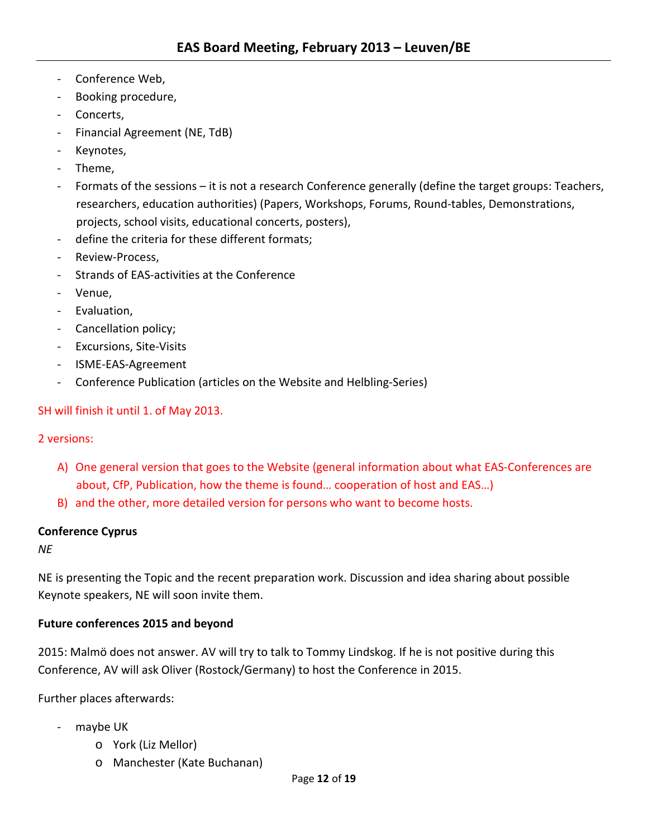- Conference Web,
- Booking procedure,
- Concerts,
- Financial Agreement (NE, TdB)
- Keynotes,
- Theme,
- Formats of the sessions it is not a research Conference generally (define the target groups: Teachers, researchers, education authorities) (Papers, Workshops, Forums, Round-tables, Demonstrations, projects, school visits, educational concerts, posters),
- define the criteria for these different formats;
- Review-Process.
- Strands of EAS-activities at the Conference
- Venue,
- Evaluation,
- Cancellation policy;
- Excursions, Site-Visits
- ISME-EAS-Agreement
- Conference Publication (articles on the Website and Helbling-Series)

# SH will finish it until 1. of May 2013.

# 2 versions:

- A) One general version that goes to the Website (general information about what EAS-Conferences are about, CfP, Publication, how the theme is found… cooperation of host and EAS…)
- B) and the other, more detailed version for persons who want to become hosts.

# **Conference Cyprus**

*NE*

NE is presenting the Topic and the recent preparation work. Discussion and idea sharing about possible Keynote speakers, NE will soon invite them.

# **Future conferences 2015 and beyond**

2015: Malmö does not answer. AV will try to talk to Tommy Lindskog. If he is not positive during this Conference, AV will ask Oliver (Rostock/Germany) to host the Conference in 2015.

Further places afterwards:

- maybe UK
	- o York (Liz Mellor)
	- o Manchester (Kate Buchanan)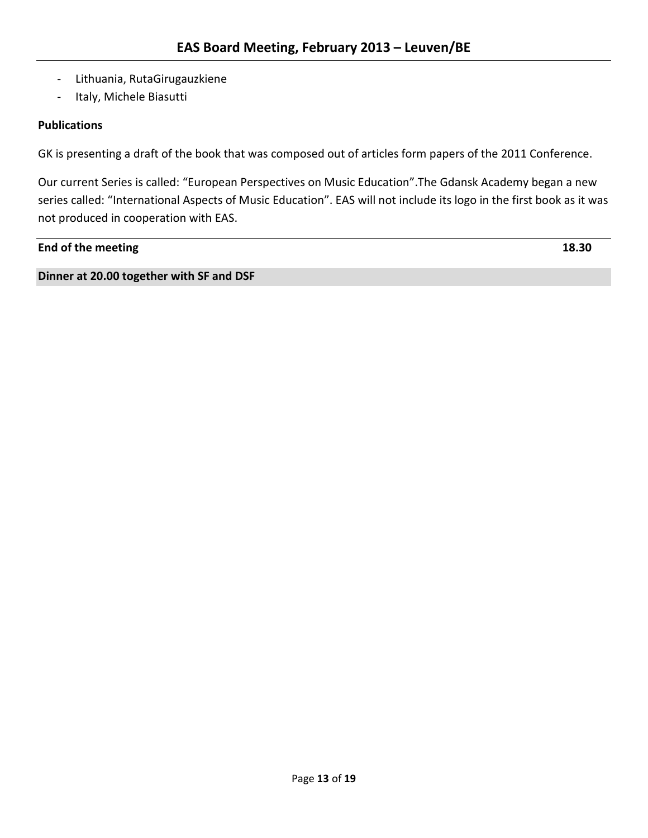- Lithuania, RutaGirugauzkiene
- Italy, Michele Biasutti

# **Publications**

GK is presenting a draft of the book that was composed out of articles form papers of the 2011 Conference.

Our current Series is called: "European Perspectives on Music Education".The Gdansk Academy began a new series called: "International Aspects of Music Education". EAS will not include its logo in the first book as it was not produced in cooperation with EAS.

# **End of the meeting 18.30**

**Dinner at 20.00 together with SF and DSF**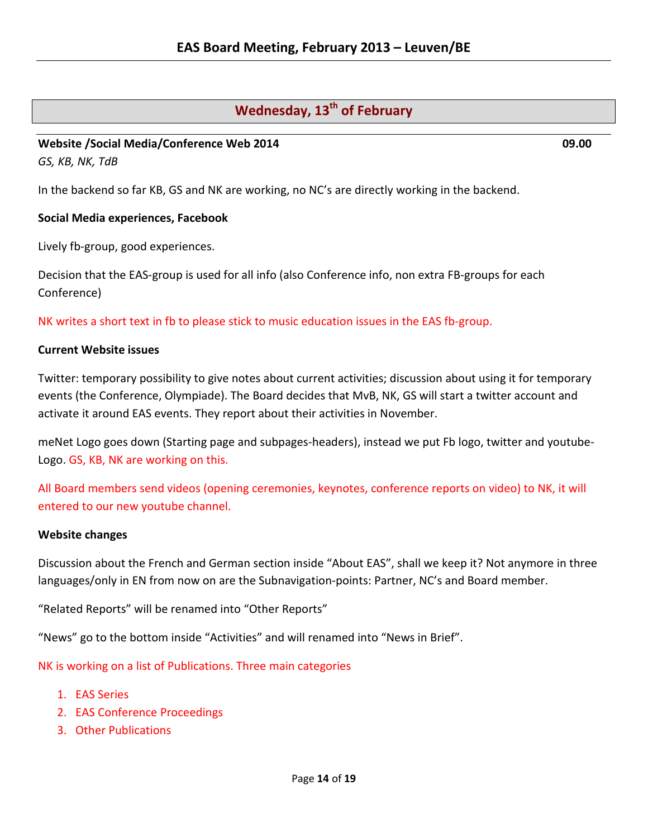# **Wednesday, 13<sup>th</sup> of February**

# **Website /Social Media/Conference Web 2014 09.00**

*GS, KB, NK, TdB*

In the backend so far KB, GS and NK are working, no NC's are directly working in the backend.

# **Social Media experiences, Facebook**

Lively fb-group, good experiences.

Decision that the EAS-group is used for all info (also Conference info, non extra FB-groups for each Conference)

NK writes a short text in fb to please stick to music education issues in the EAS fb-group.

# **Current Website issues**

Twitter: temporary possibility to give notes about current activities; discussion about using it for temporary events (the Conference, Olympiade). The Board decides that MvB, NK, GS will start a twitter account and activate it around EAS events. They report about their activities in November.

meNet Logo goes down (Starting page and subpages-headers), instead we put Fb logo, twitter and youtube-Logo. GS, KB, NK are working on this.

All Board members send videos (opening ceremonies, keynotes, conference reports on video) to NK, it will entered to our new youtube channel.

#### **Website changes**

Discussion about the French and German section inside "About EAS", shall we keep it? Not anymore in three languages/only in EN from now on are the Subnavigation-points: Partner, NC's and Board member.

"Related Reports" will be renamed into "Other Reports"

"News" go to the bottom inside "Activities" and will renamed into "News in Brief".

NK is working on a list of Publications. Three main categories

- 1. EAS Series
- 2. EAS Conference Proceedings
- 3. Other Publications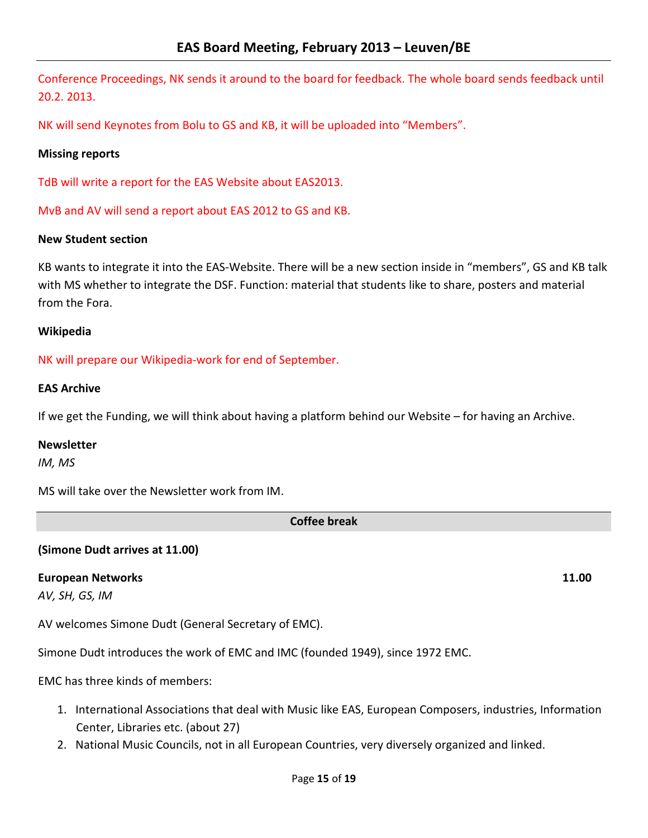Conference Proceedings, NK sends it around to the board for feedback. The whole board sends feedback until 20.2. 2013.

NK will send Keynotes from Bolu to GS and KB, it will be uploaded into "Members".

# **Missing reports**

TdB will write a report for the EAS Website about EAS2013.

MvB and AV will send a report about EAS 2012 to GS and KB.

# **New Student section**

KB wants to integrate it into the EAS-Website. There will be a new section inside in "members", GS and KB talk with MS whether to integrate the DSF. Function: material that students like to share, posters and material from the Fora.

#### **Wikipedia**

NK will prepare our Wikipedia-work for end of September.

# **EAS Archive**

If we get the Funding, we will think about having a platform behind our Website – for having an Archive.

#### **Newsletter**

*IM, MS*

MS will take over the Newsletter work from IM.

**Coffee break**

# **(Simone Dudt arrives at 11.00)**

#### **European Networks 11.00**

*AV, SH, GS, IM*

AV welcomes Simone Dudt (General Secretary of EMC).

Simone Dudt introduces the work of EMC and IMC (founded 1949), since 1972 EMC.

EMC has three kinds of members:

- 1. International Associations that deal with Music like EAS, European Composers, industries, Information Center, Libraries etc. (about 27)
- 2. National Music Councils, not in all European Countries, very diversely organized and linked.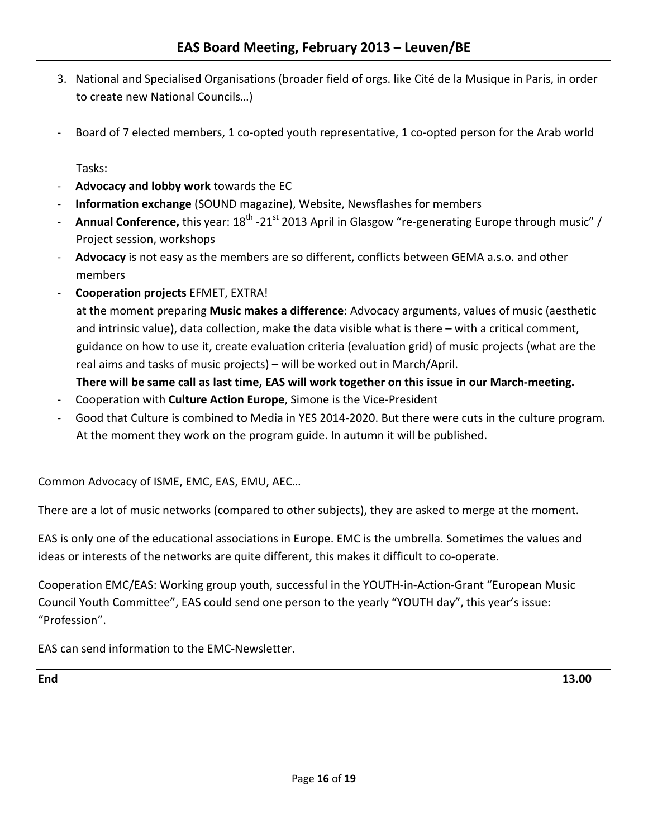- 3. National and Specialised Organisations (broader field of orgs. like Cité de la Musique in Paris, in order to create new National Councils…)
- Board of 7 elected members, 1 co-opted youth representative, 1 co-opted person for the Arab world

Tasks:

- **Advocacy and lobby work** towards the EC
- **Information exchange** (SOUND magazine), Website, Newsflashes for members
- **Annual Conference,** this year: 18<sup>th</sup> -21<sup>st</sup> 2013 April in Glasgow "re-generating Europe through music" / Project session, workshops
- **Advocacy** is not easy as the members are so different, conflicts between GEMA a.s.o. and other members
- **Cooperation projects** EFMET, EXTRA!

at the moment preparing **Music makes a difference**: Advocacy arguments, values of music (aesthetic and intrinsic value), data collection, make the data visible what is there – with a critical comment, guidance on how to use it, create evaluation criteria (evaluation grid) of music projects (what are the real aims and tasks of music projects) – will be worked out in March/April.

**There will be same call as last time, EAS will work together on this issue in our March-meeting.**

- Cooperation with **Culture Action Europe**, Simone is the Vice-President
- Good that Culture is combined to Media in YES 2014-2020. But there were cuts in the culture program. At the moment they work on the program guide. In autumn it will be published.

Common Advocacy of ISME, EMC, EAS, EMU, AEC…

There are a lot of music networks (compared to other subjects), they are asked to merge at the moment.

EAS is only one of the educational associations in Europe. EMC is the umbrella. Sometimes the values and ideas or interests of the networks are quite different, this makes it difficult to co-operate.

Cooperation EMC/EAS: Working group youth, successful in the YOUTH-in-Action-Grant "European Music Council Youth Committee", EAS could send one person to the yearly "YOUTH day", this year's issue: "Profession".

EAS can send information to the EMC-Newsletter.

**End 13.00**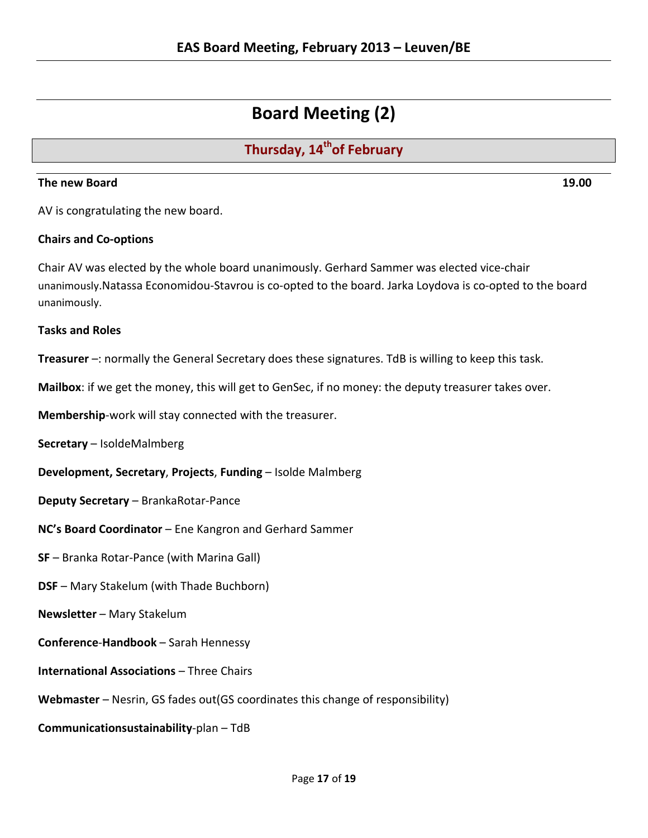# **Board Meeting (2)**

# **Thursday, 14<sup>th</sup>of February**

# **The new Board 19.00**

AV is congratulating the new board.

# **Chairs and Co-options**

Chair AV was elected by the whole board unanimously. Gerhard Sammer was elected vice-chair unanimously.Natassa Economidou-Stavrou is co-opted to the board. Jarka Loydova is co-opted to the board unanimously.

# **Tasks and Roles**

**Treasurer** –: normally the General Secretary does these signatures. TdB is willing to keep this task.

**Mailbox**: if we get the money, this will get to GenSec, if no money: the deputy treasurer takes over.

**Membership**-work will stay connected with the treasurer.

**Secretary** – IsoldeMalmberg

**Development, Secretary**, **Projects**, **Funding** – Isolde Malmberg

**Deputy Secretary** – BrankaRotar-Pance

**NC's Board Coordinator** – Ene Kangron and Gerhard Sammer

**SF** – Branka Rotar-Pance (with Marina Gall)

**DSF** – Mary Stakelum (with Thade Buchborn)

**Newsletter** – Mary Stakelum

**Conference**-**Handbook** – Sarah Hennessy

**International Associations** – Three Chairs

**Webmaster** – Nesrin, GS fades out(GS coordinates this change of responsibility)

**Communicationsustainability**-plan – TdB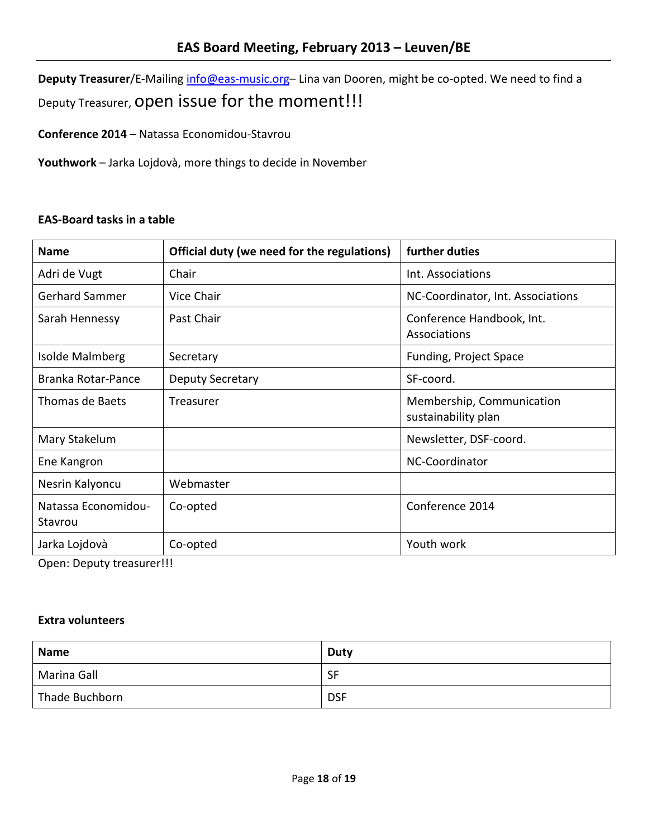**Deputy Treasurer**/E-Mailing [info@eas-music.org–](mailto:info@eas-music.org) Lina van Dooren, might be co-opted. We need to find a Deputy Treasurer, open issue for the moment!!!

**Conference 2014** – Natassa Economidou-Stavrou

**Youthwork** – Jarka Lojdovà, more things to decide in November

# **EAS-Board tasks in a table**

| <b>Name</b>                    | Official duty (we need for the regulations) | further duties                                   |
|--------------------------------|---------------------------------------------|--------------------------------------------------|
| Adri de Vugt                   | Chair                                       | Int. Associations                                |
| <b>Gerhard Sammer</b>          | Vice Chair                                  | NC-Coordinator, Int. Associations                |
| Sarah Hennessy                 | Past Chair                                  | Conference Handbook, Int.<br>Associations        |
| Isolde Malmberg                | Secretary                                   | Funding, Project Space                           |
| Branka Rotar-Pance             | Deputy Secretary                            | SF-coord.                                        |
| <b>Thomas de Baets</b>         | Treasurer                                   | Membership, Communication<br>sustainability plan |
| Mary Stakelum                  |                                             | Newsletter, DSF-coord.                           |
| Ene Kangron                    |                                             | NC-Coordinator                                   |
| Nesrin Kalyoncu                | Webmaster                                   |                                                  |
| Natassa Economidou-<br>Stavrou | Co-opted                                    | Conference 2014                                  |
| Jarka Lojdovà                  | Co-opted                                    | Youth work                                       |

Open: Deputy treasurer!!!

# **Extra volunteers**

| <b>Name</b>    | Duty       |
|----------------|------------|
| Marina Gall    | <b>SF</b>  |
| Thade Buchborn | <b>DSF</b> |